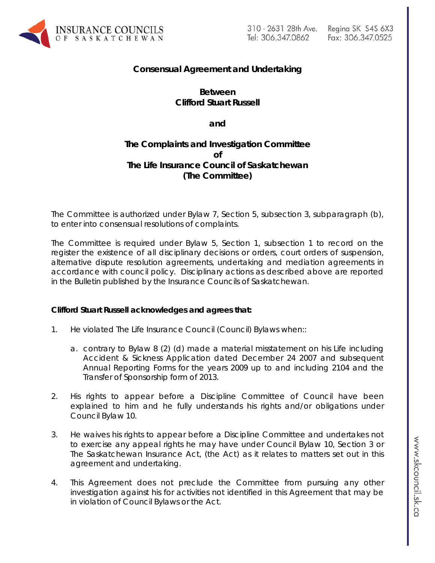

# **Consensual Agreement and Undertaking**

# **Between Clifford Stuart Russell**

**and**

# **The Complaints and Investigation Committee of The Life Insurance Council of Saskatchewan (The Committee)**

The Committee is authorized under Bylaw 7, Section 5, subsection 3, subparagraph (b), to enter into consensual resolutions of complaints.

The Committee is required under Bylaw 5, Section 1, subsection 1 to record on the register the existence of all disciplinary decisions or orders, court orders of suspension, alternative dispute resolution agreements, undertaking and mediation agreements in accordance with council policy. Disciplinary actions as described above are reported in the Bulletin published by the Insurance Councils of Saskatchewan.

### **Clifford Stuart Russell acknowledges and agrees that:**

- 1. He violated The Life Insurance Council (Council) Bylaws when::
	- a. contrary to Bylaw 8 (2) (d) made a material misstatement on his Life including Accident & Sickness Application dated December 24 2007 and subsequent Annual Reporting Forms for the years 2009 up to and including 2104 and the Transfer of Sponsorship form of 2013.
- 2. His rights to appear before a Discipline Committee of Council have been explained to him and he fully understands his rights and/or obligations under Council Bylaw 10.
- 3. He waives his rights to appear before a Discipline Committee and undertakes not to exercise any appeal rights he may have under Council Bylaw 10, Section 3 or *The Saskatchewan Insurance Act,* (the Act) as it relates to matters set out in this agreement and undertaking.
- 4. This Agreement does not preclude the Committee from pursuing any other investigation against his for activities not identified in this Agreement that may be in violation of Council Bylaws or the Act.